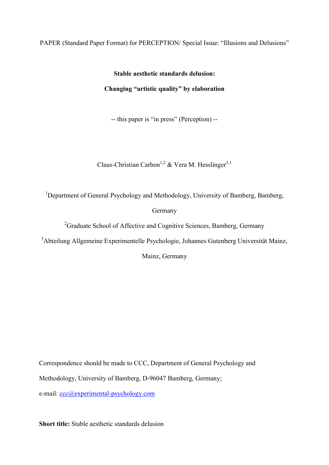## PAPER (Standard Paper Format) for PERCEPTION/ Special Issue: "Illusions and Delusions"

**Stable aesthetic standards delusion: Changing "artistic quality" by elaboration** 

-- this paper is "in press" (Perception) --

Claus-Christian Carbon<sup>1,2</sup> & Vera M. Hesslinger<sup>3,1</sup>

<sup>1</sup>Department of General Psychology and Methodology, University of Bamberg, Bamberg,

Germany

<sup>2</sup>Graduate School of Affective and Cognitive Sciences, Bamberg, Germany

<sup>3</sup>Abteilung Allgemeine Experimentelle Psychologie, Johannes Gutenberg Universität Mainz,

Mainz, Germany

Correspondence should be made to CCC, Department of General Psychology and Methodology, University of Bamberg, D-96047 Bamberg, Germany; e-mail: [ccc@experimental-psychology.com](mailto:ccc@experimental-psychology.com) 

**Short title:** Stable aesthetic standards delusion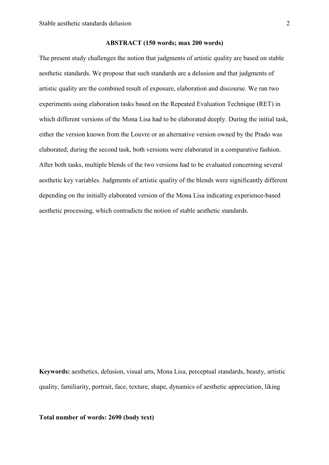#### **ABSTRACT (150 words; max 200 words)**

The present study challenges the notion that judgments of artistic quality are based on stable aesthetic standards. We propose that such standards are a delusion and that judgments of artistic quality are the combined result of exposure, elaboration and discourse. We ran two experiments using elaboration tasks based on the Repeated Evaluation Technique (RET) in which different versions of the Mona Lisa had to be elaborated deeply. During the initial task, either the version known from the Louvre or an alternative version owned by the Prado was elaborated; during the second task, both versions were elaborated in a comparative fashion. After both tasks, multiple blends of the two versions had to be evaluated concerning several aesthetic key variables. Judgments of artistic quality of the blends were significantly different depending on the initially elaborated version of the Mona Lisa indicating experience-based aesthetic processing, which contradicts the notion of stable aesthetic standards.

**Keywords:** aesthetics, delusion, visual arts, Mona Lisa, perceptual standards, beauty, artistic quality, familiarity, portrait, face, texture, shape, dynamics of aesthetic appreciation, liking

**Total number of words: 2690 (body text)**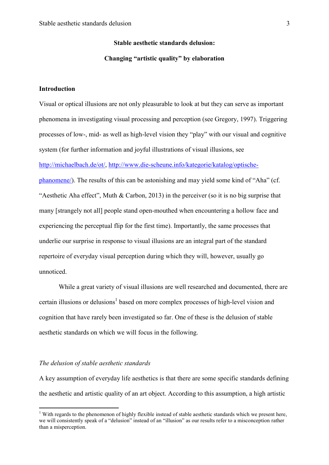# **Stable aesthetic standards delusion: Changing "artistic quality" by elaboration**

## **Introduction**

Visual or optical illusions are not only pleasurable to look at but they can serve as important phenomena in investigating visual processing and perception [\(see Gregory, 1997\)](#page-11-0). Triggering processes of low-, mid- as well as high-level vision they "play" with our visual and cognitive system (for further information and joyful illustrations of visual illusions, see [http://michaelbach.de/ot/,](http://michaelbach.de/ot/) [http://www.die-scheune.info/kategorie/katalog/optische](http://www.die-scheune.info/kategorie/katalog/optische-phanomene/)[phanomene/\)](http://www.die-scheune.info/kategorie/katalog/optische-phanomene/). The results of this can be astonishing and may yield some kind of "Aha" [\(cf.](#page-12-0)  ["Aesthetic Aha effect", Muth & Carbon, 2013\)](#page-12-0) in the perceiver (so it is no big surprise that many [strangely not all] people stand open-mouthed when encountering a hollow face and experiencing the perceptual flip for the first time). Importantly, the same processes that underlie our surprise in response to visual illusions are an integral part of the standard repertoire of everyday visual perception during which they will, however, usually go unnoticed.

 While a great variety of visual illusions are well researched and documented, there are certain illusions or delusions<sup>1</sup> based on more complex processes of high-level vision and cognition that have rarely been investigated so far. One of these is the delusion of stable aesthetic standards on which we will focus in the following.

#### *The delusion of stable aesthetic standards*

<u>.</u>

A key assumption of everyday life aesthetics is that there are some specific standards defining the aesthetic and artistic quality of an art object. According to this assumption, a high artistic

 $1$  With regards to the phenomenon of highly flexible instead of stable aesthetic standards which we present here, we will consistently speak of a "delusion" instead of an "illusion" as our results refer to a misconception rather than a misperception.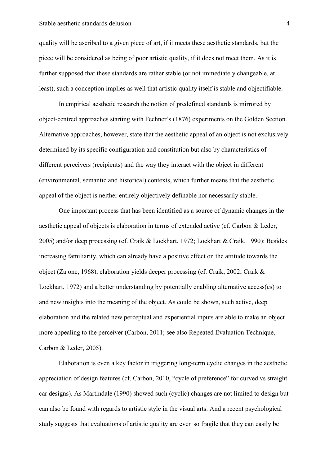#### Stable aesthetic standards delusion 4

quality will be ascribed to a given piece of art, if it meets these aesthetic standards, but the piece will be considered as being of poor artistic quality, if it does not meet them. As it is further supposed that these standards are rather stable (or not immediately changeable, at least), such a conception implies as well that artistic quality itself is stable and objectifiable.

 In empirical aesthetic research the notion of predefined standards is mirrored by object-centred approaches starting with Fechner's [\(1876\)](#page-11-1) experiments on the Golden Section. Alternative approaches, however, state that the aesthetic appeal of an object is not exclusively determined by its specific configuration and constitution but also by characteristics of different perceivers (recipients) and the way they interact with the object in different (environmental, semantic and historical) contexts, which further means that the aesthetic appeal of the object is neither entirely objectively definable nor necessarily stable.

 One important process that has been identified as a source of dynamic changes in the aesthetic appeal of objects is elaboration in terms of extended active [\(cf. Carbon & Leder,](#page-11-2)  [2005\)](#page-11-2) and/or deep processing (cf. [Craik & Lockhart, 1972;](#page-11-3) [Lockhart & Craik, 1990\)](#page-11-4): Besides increasing familiarity, which can already have a positive effect on the attitude towards the object [\(Zajonc, 1968\)](#page-12-1), elaboration yields deeper processing (cf. [Craik, 2002;](#page-11-5) [Craik &](#page-11-3)  [Lockhart, 1972\)](#page-11-3) and a better understanding by potentially enabling alternative access(es) to and new insights into the meaning of the object. As could be shown, such active, deep elaboration and the related new perceptual and experiential inputs are able to make an object more appealing to the perceiver [\(Carbon, 2011;](#page-11-6) [see also Repeated Evaluation Technique,](#page-11-2)  [Carbon & Leder, 2005\)](#page-11-2).

 Elaboration is even a key factor in triggering long-term cyclic changes in the aesthetic appreciation of design features (cf. Carbon, 2010, "cycle of preference" for curved vs straight car designs). As [Martindale \(1990\)](#page-12-2) showed such (cyclic) changes are not limited to design but can also be found with regards to artistic style in the visual arts. And a recent psychological study suggests that evaluations of artistic quality are even so fragile that they can easily be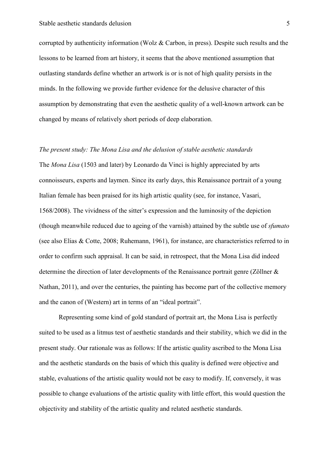corrupted by authenticity information [\(Wolz & Carbon, in press\)](#page-12-3). Despite such results and the lessons to be learned from art history, it seems that the above mentioned assumption that outlasting standards define whether an artwork is or is not of high quality persists in the minds. In the following we provide further evidence for the delusive character of this assumption by demonstrating that even the aesthetic quality of a well-known artwork can be changed by means of relatively short periods of deep elaboration.

#### *The present study: The Mona Lisa and the delusion of stable aesthetic standards*

The *Mona Lisa* (1503 and later) by Leonardo da Vinci is highly appreciated by arts connoisseurs, experts and laymen. Since its early days, this Renaissance portrait of a young Italian female has been praised for its high artistic quality [\(see, for instance, Vasari,](#page-12-4)  [1568/2008\)](#page-12-4). The vividness of the sitter's expression and the luminosity of the depiction (though meanwhile reduced due to ageing of the varnish) attained by the subtle use of *sfumato*  [\(see also Elias & Cotte, 2008;](#page-11-7) [Ruhemann, 1961\)](#page-12-5), for instance, are characteristics referred to in order to confirm such appraisal. It can be said, in retrospect, that the Mona Lisa did indeed determine the direction of later developments of the Renaissance portrait genre [\(Zöllner &](#page-12-6)  [Nathan, 2011\)](#page-12-6), and over the centuries, the painting has become part of the collective memory and the canon of (Western) art in terms of an "ideal portrait".

 Representing some kind of gold standard of portrait art, the Mona Lisa is perfectly suited to be used as a litmus test of aesthetic standards and their stability, which we did in the present study. Our rationale was as follows: If the artistic quality ascribed to the Mona Lisa and the aesthetic standards on the basis of which this quality is defined were objective and stable, evaluations of the artistic quality would not be easy to modify. If, conversely, it was possible to change evaluations of the artistic quality with little effort, this would question the objectivity and stability of the artistic quality and related aesthetic standards.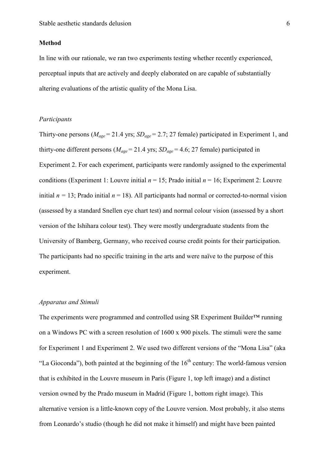#### **Method**

In line with our rationale, we ran two experiments testing whether recently experienced, perceptual inputs that are actively and deeply elaborated on are capable of substantially altering evaluations of the artistic quality of the Mona Lisa.

## *Participants*

Thirty-one persons (*Mage* = 21.4 yrs; *SDage* = 2.7; 27 female) participated in Experiment 1, and thirty-one different persons ( $M_{\text{age}} = 21.4$  yrs;  $SD_{\text{age}} = 4.6$ ; 27 female) participated in Experiment 2. For each experiment, participants were randomly assigned to the experimental conditions (Experiment 1: Louvre initial  $n = 15$ ; Prado initial  $n = 16$ ; Experiment 2: Louvre initial  $n = 13$ ; Prado initial  $n = 18$ ). All participants had normal or corrected-to-normal vision (assessed by a standard Snellen eye chart test) and normal colour vision (assessed by a short version of the Ishihara colour test). They were mostly undergraduate students from the University of Bamberg, Germany, who received course credit points for their participation. The participants had no specific training in the arts and were naïve to the purpose of this experiment.

## *Apparatus and Stimuli*

The experiments were programmed and controlled using SR Experiment Builder™ running on a Windows PC with a screen resolution of 1600 x 900 pixels. The stimuli were the same for Experiment 1 and Experiment 2. We used two different versions of the "Mona Lisa" (aka "La Gioconda"), both painted at the beginning of the  $16<sup>th</sup>$  century: The world-famous version that is exhibited in the Louvre museum in Paris (Figure 1, top left image) and a distinct version owned by the Prado museum in Madrid (Figure 1, bottom right image). This alternative version is a little-known copy of the Louvre version. Most probably, it also stems from Leonardo's studio (though he did not make it himself) and might have been painted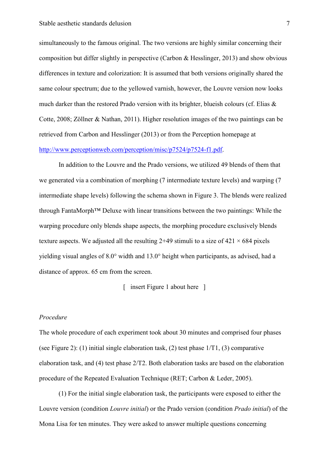simultaneously to the famous original. The two versions are highly similar concerning their composition but differ slightly in perspective [\(Carbon & Hesslinger, 2013\)](#page-11-8) and show obvious differences in texture and colorization: It is assumed that both versions originally shared the same colour spectrum; due to the yellowed varnish, however, the Louvre version now looks much darker than the restored Prado version with its brighter, blueish colours (cf. Elias  $\&$ [Cotte, 2008;](#page-11-7) [Zöllner & Nathan, 2011\)](#page-12-6). Higher resolution images of the two paintings can be retrieved from [Carbon and Hesslinger \(2013\)](#page-11-8) or from the Perception homepage at [http://www.perceptionweb.com/perception/misc/p7524/p7524-f1.pdf.](http://www.perceptionweb.com/perception/misc/p7524/p7524-f1.pdf)

In addition to the Louvre and the Prado versions, we utilized 49 blends of them that we generated via a combination of morphing (7 intermediate texture levels) and warping (7 intermediate shape levels) following the schema shown in Figure 3. The blends were realized through FantaMorph™ Deluxe with linear transitions between the two paintings: While the warping procedure only blends shape aspects, the morphing procedure exclusively blends texture aspects. We adjusted all the resulting 2+49 stimuli to a size of  $421 \times 684$  pixels yielding visual angles of 8.0° width and 13.0° height when participants, as advised, had a distance of approx. 65 cm from the screen.

[ insert Figure 1 about here ]

#### *Procedure*

The whole procedure of each experiment took about 30 minutes and comprised four phases (see Figure 2): (1) initial single elaboration task, (2) test phase  $1/T1$ , (3) comparative elaboration task, and (4) test phase 2/T2. Both elaboration tasks are based on the elaboration procedure of the Repeated Evaluation Technique [\(RET; Carbon & Leder, 2005\)](#page-11-2).

(1) For the initial single elaboration task, the participants were exposed to either the Louvre version (condition *Louvre initial*) or the Prado version (condition *Prado initial*) of the Mona Lisa for ten minutes. They were asked to answer multiple questions concerning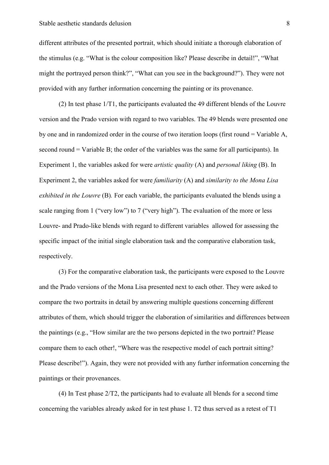different attributes of the presented portrait, which should initiate a thorough elaboration of the stimulus (e.g. "What is the colour composition like? Please describe in detail!", "What might the portrayed person think?", "What can you see in the background?"). They were not provided with any further information concerning the painting or its provenance.

 (2) In test phase 1/T1, the participants evaluated the 49 different blends of the Louvre version and the Prado version with regard to two variables. The 49 blends were presented one by one and in randomized order in the course of two iteration loops (first round = Variable A, second round = Variable B; the order of the variables was the same for all participants). In Experiment 1, the variables asked for were *artistic quality* (A) and *personal liking* (B). In Experiment 2, the variables asked for were *familiarity* (A) and *similarity to the Mona Lisa exhibited in the Louvre* (B)*.* For each variable, the participants evaluated the blends using a scale ranging from 1 ("very low") to 7 ("very high"). The evaluation of the more or less Louvre- and Prado-like blends with regard to different variables allowed for assessing the specific impact of the initial single elaboration task and the comparative elaboration task, respectively.

(3) For the comparative elaboration task, the participants were exposed to the Louvre and the Prado versions of the Mona Lisa presented next to each other. They were asked to compare the two portraits in detail by answering multiple questions concerning different attributes of them, which should trigger the elaboration of similarities and differences between the paintings (e.g., "How similar are the two persons depicted in the two portrait? Please compare them to each other!, "Where was the resepective model of each portrait sitting? Please describe!"). Again, they were not provided with any further information concerning the paintings or their provenances.

(4) In Test phase 2/T2, the participants had to evaluate all blends for a second time concerning the variables already asked for in test phase 1. T2 thus served as a retest of T1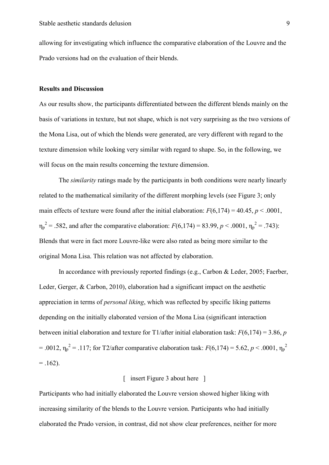allowing for investigating which influence the comparative elaboration of the Louvre and the Prado versions had on the evaluation of their blends.

## **Results and Discussion**

As our results show, the participants differentiated between the different blends mainly on the basis of variations in texture, but not shape, which is not very surprising as the two versions of the Mona Lisa, out of which the blends were generated, are very different with regard to the texture dimension while looking very similar with regard to shape. So, in the following, we will focus on the main results concerning the texture dimension.

 The *similarity* ratings made by the participants in both conditions were nearly linearly related to the mathematical similarity of the different morphing levels (see Figure 3; only main effects of texture were found after the initial elaboration:  $F(6,174) = 40.45$ ,  $p < .0001$ ,  $\eta_p^2 = .582$ , and after the comparative elaboration:  $F(6,174) = 83.99$ ,  $p < .0001$ ,  $\eta_p^2 = .743$ ): Blends that were in fact more Louvre-like were also rated as being more similar to the original Mona Lisa. This relation was not affected by elaboration.

 In accordance with previously reported findings (e.g., [Carbon & Leder, 2005;](#page-11-2) [Faerber,](#page-11-9)  [Leder, Gerger, & Carbon, 2010\)](#page-11-9), elaboration had a significant impact on the aesthetic appreciation in terms of *personal liking*, which was reflected by specific liking patterns depending on the initially elaborated version of the Mona Lisa (significant interaction between initial elaboration and texture for T1/after initial elaboration task: *F*(6,174) = 3.86, *p* = .0012,  $η<sub>p</sub><sup>2</sup>$  = .117; for T2/after comparative elaboration task: *F*(6,174) = 5.62, *p* < .0001,  $η<sub>p</sub><sup>2</sup>$  $= .162$ ).

## [ insert Figure 3 about here ]

Participants who had initially elaborated the Louvre version showed higher liking with increasing similarity of the blends to the Louvre version. Participants who had initially elaborated the Prado version, in contrast, did not show clear preferences, neither for more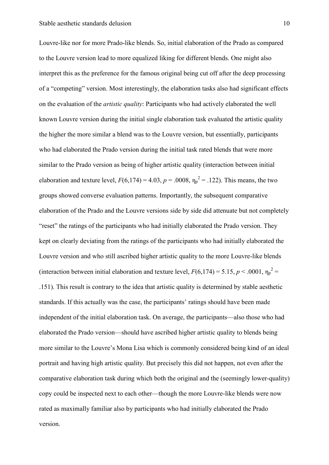Louvre-like nor for more Prado-like blends. So, initial elaboration of the Prado as compared to the Louvre version lead to more equalized liking for different blends. One might also interpret this as the preference for the famous original being cut off after the deep processing of a "competing" version. Most interestingly, the elaboration tasks also had significant effects on the evaluation of the *artistic quality*: Participants who had actively elaborated the well known Louvre version during the initial single elaboration task evaluated the artistic quality the higher the more similar a blend was to the Louvre version, but essentially, participants who had elaborated the Prado version during the initial task rated blends that were more similar to the Prado version as being of higher artistic quality (interaction between initial elaboration and texture level,  $F(6,174) = 4.03$ ,  $p = .0008$ ,  $\eta_p^2 = .122$ ). This means, the two groups showed converse evaluation patterns. Importantly, the subsequent comparative elaboration of the Prado and the Louvre versions side by side did attenuate but not completely "reset" the ratings of the participants who had initially elaborated the Prado version. They kept on clearly deviating from the ratings of the participants who had initially elaborated the Louvre version and who still ascribed higher artistic quality to the more Louvre-like blends (interaction between initial elaboration and texture level,  $F(6,174) = 5.15, p < .0001, \eta_p^2 =$ .151). This result is contrary to the idea that artistic quality is determined by stable aesthetic standards. If this actually was the case, the participants' ratings should have been made independent of the initial elaboration task. On average, the participants—also those who had elaborated the Prado version—should have ascribed higher artistic quality to blends being more similar to the Louvre's Mona Lisa which is commonly considered being kind of an ideal portrait and having high artistic quality. But precisely this did not happen, not even after the comparative elaboration task during which both the original and the (seemingly lower-quality) copy could be inspected next to each other—though the more Louvre-like blends were now rated as maximally familiar also by participants who had initially elaborated the Prado version.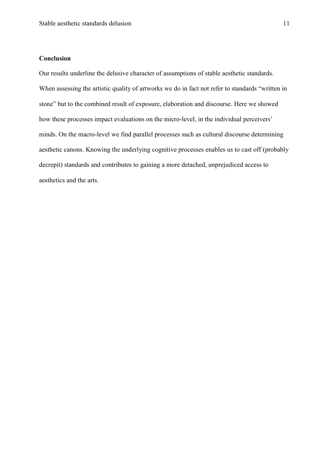## **Conclusion**

Our results underline the delusive character of assumptions of stable aesthetic standards. When assessing the artistic quality of artworks we do in fact not refer to standards "written in stone" but to the combined result of exposure, elaboration and discourse. Here we showed how these processes impact evaluations on the micro-level, in the individual perceivers' minds. On the macro-level we find parallel processes such as cultural discourse determining aesthetic canons. Knowing the underlying cognitive processes enables us to cast off (probably decrepit) standards and contributes to gaining a more detached, unprejudiced access to aesthetics and the arts.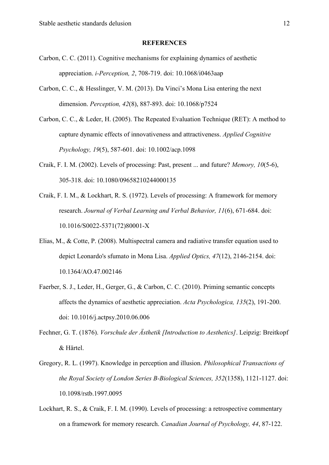#### **REFERENCES**

- <span id="page-11-6"></span>Carbon, C. C. (2011). Cognitive mechanisms for explaining dynamics of aesthetic appreciation. *i-Perception, 2*, 708-719. doi: 10.1068/i0463aap
- <span id="page-11-8"></span>Carbon, C. C., & Hesslinger, V. M. (2013). Da Vinci's Mona Lisa entering the next dimension. *Perception, 42*(8), 887-893. doi: 10.1068/p7524
- <span id="page-11-2"></span>Carbon, C. C., & Leder, H. (2005). The Repeated Evaluation Technique (RET): A method to capture dynamic effects of innovativeness and attractiveness. *Applied Cognitive Psychology, 19*(5), 587-601. doi: 10.1002/acp.1098
- <span id="page-11-5"></span>Craik, F. I. M. (2002). Levels of processing: Past, present ... and future? *Memory, 10*(5-6), 305-318. doi: 10.1080/09658210244000135
- <span id="page-11-3"></span>Craik, F. I. M., & Lockhart, R. S. (1972). Levels of processing: A framework for memory research. *Journal of Verbal Learning and Verbal Behavior, 11*(6), 671-684. doi: 10.1016/S0022-5371(72)80001-X
- <span id="page-11-7"></span>Elias, M., & Cotte, P. (2008). Multispectral camera and radiative transfer equation used to depict Leonardo's sfumato in Mona Lisa. *Applied Optics, 47*(12), 2146-2154. doi: 10.1364/AO.47.002146
- <span id="page-11-9"></span>Faerber, S. J., Leder, H., Gerger, G., & Carbon, C. C. (2010). Priming semantic concepts affects the dynamics of aesthetic appreciation. *Acta Psychologica, 135*(2), 191-200. doi: 10.1016/j.actpsy.2010.06.006
- <span id="page-11-1"></span>Fechner, G. T. (1876). *Vorschule der Ästhetik [Introduction to Aesthetics]*. Leipzig: Breitkopf & Härtel.
- <span id="page-11-0"></span>Gregory, R. L. (1997). Knowledge in perception and illusion. *Philosophical Transactions of the Royal Society of London Series B-Biological Sciences, 352*(1358), 1121-1127. doi: 10.1098/rstb.1997.0095
- <span id="page-11-4"></span>Lockhart, R. S., & Craik, F. I. M. (1990). Levels of processing: a retrospective commentary on a framework for memory research. *Canadian Journal of Psychology, 44*, 87-122.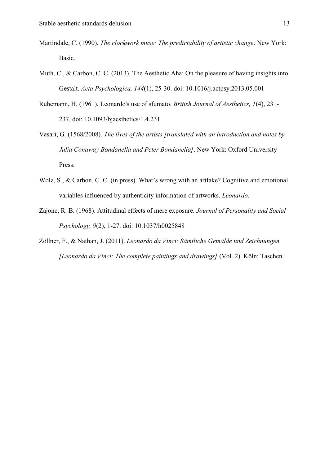- <span id="page-12-2"></span>Martindale, C. (1990). *The clockwork muse: The predictability of artistic change*. New York: Basic.
- <span id="page-12-0"></span>Muth, C., & Carbon, C. C. (2013). The Aesthetic Aha: On the pleasure of having insights into Gestalt. *Acta Psychologica, 144*(1), 25-30. doi: 10.1016/j.actpsy.2013.05.001
- <span id="page-12-5"></span>Ruhemann, H. (1961). Leonardo's use of sfumato. *British Journal of Aesthetics, 1*(4), 231- 237. doi: 10.1093/bjaesthetics/1.4.231
- <span id="page-12-4"></span>Vasari, G. (1568/2008). *The lives of the artists [translated with an introduction and notes by Julia Conaway Bondanella and Peter Bondanella]*. New York: Oxford University Press.
- <span id="page-12-3"></span>Wolz, S., & Carbon, C. C. (in press). What's wrong with an artfake? Cognitive and emotional variables influenced by authenticity information of artworks. *Leonardo*.
- <span id="page-12-1"></span>Zajonc, R. B. (1968). Attitudinal effects of mere exposure. *Journal of Personality and Social Psychology, 9*(2), 1-27. doi: 10.1037/h0025848
- <span id="page-12-6"></span>Zöllner, F., & Nathan, J. (2011). *Leonardo da Vinci: Sämtliche Gemälde und Zeichnungen [Leonardo da Vinci: The complete paintings and drawings]* (Vol. 2). Köln: Taschen.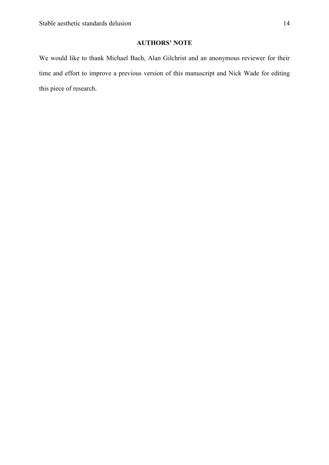# **AUTHORS' NOTE**

We would like to thank Michael Bach, Alan Gilchrist and an anonymous reviewer for their time and effort to improve a previous version of this manuscript and Nick Wade for editing this piece of research.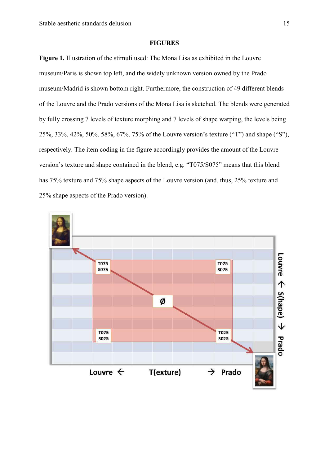### **FIGURES**

**Figure 1.** Illustration of the stimuli used: The Mona Lisa as exhibited in the Louvre museum/Paris is shown top left, and the widely unknown version owned by the Prado museum/Madrid is shown bottom right. Furthermore, the construction of 49 different blends of the Louvre and the Prado versions of the Mona Lisa is sketched. The blends were generated by fully crossing 7 levels of texture morphing and 7 levels of shape warping, the levels being 25%, 33%, 42%, 50%, 58%, 67%, 75% of the Louvre version's texture ("T") and shape ("S"), respectively. The item coding in the figure accordingly provides the amount of the Louvre version's texture and shape contained in the blend, e.g. "T075/S075" means that this blend has 75% texture and 75% shape aspects of the Louvre version (and, thus, 25% texture and 25% shape aspects of the Prado version).

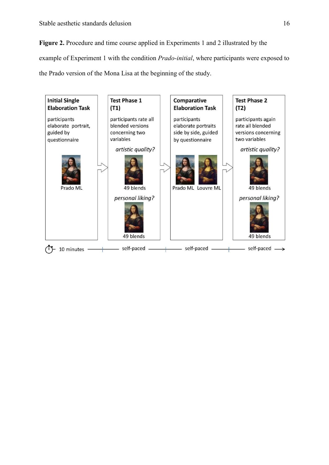**Figure 2.** Procedure and time course applied in Experiments 1 and 2 illustrated by the example of Experiment 1 with the condition *Prado-initial*, where participants were exposed to the Prado version of the Mona Lisa at the beginning of the study.